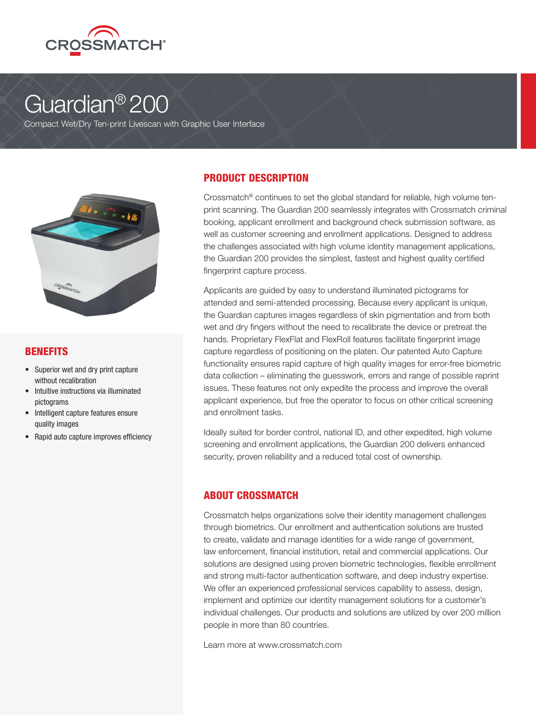

# Guardian® 200

Compact Wet/Dry Ten-print Livescan with Graphic User Interface



## BENEFITS

- Superior wet and dry print capture without recalibration
- Intuitive instructions via illuminated pictograms
- Intelligent capture features ensure quality images
- Rapid auto capture improves efficiency

## PRODUCT DESCRIPTION

Crossmatch® continues to set the global standard for reliable, high volume tenprint scanning. The Guardian 200 seamlessly integrates with Crossmatch criminal booking, applicant enrollment and background check submission software, as well as customer screening and enrollment applications. Designed to address the challenges associated with high volume identity management applications, the Guardian 200 provides the simplest, fastest and highest quality certified fingerprint capture process.

Applicants are guided by easy to understand illuminated pictograms for attended and semi-attended processing. Because every applicant is unique, the Guardian captures images regardless of skin pigmentation and from both wet and dry fingers without the need to recalibrate the device or pretreat the hands. Proprietary FlexFlat and FlexRoll features facilitate fingerprint image capture regardless of positioning on the platen. Our patented Auto Capture functionality ensures rapid capture of high quality images for error-free biometric data collection – eliminating the guesswork, errors and range of possible reprint issues. These features not only expedite the process and improve the overall applicant experience, but free the operator to focus on other critical screening and enrollment tasks.

Ideally suited for border control, national ID, and other expedited, high volume screening and enrollment applications, the Guardian 200 delivers enhanced security, proven reliability and a reduced total cost of ownership.

## ABOUT CROSSMATCH

Crossmatch helps organizations solve their identity management challenges through biometrics. Our enrollment and authentication solutions are trusted to create, validate and manage identities for a wide range of government, law enforcement, financial institution, retail and commercial applications. Our solutions are designed using proven biometric technologies, flexible enrollment and strong multi-factor authentication software, and deep industry expertise. We offer an experienced professional services capability to assess, design, implement and optimize our identity management solutions for a customer's individual challenges. Our products and solutions are utilized by over 200 million people in more than 80 countries.

Learn more at www.crossmatch.com